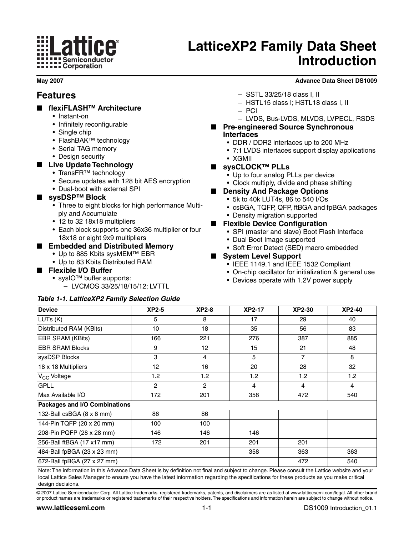# **ilice** i **Semiconductor ALLETT Corporation**

# **LatticeXP2 Family Data Sheet Introduction**

**May 2007 Advance Data Sheet DS1009**

### **Features**

- **flexiFLASH™ Architecture**
	- Instant-on
	- Infinitely reconfigurable
	- Single chip
	- FlashBAK™ technology
	- Serial TAG memory
	- Design security
- **Live Update Technology**
	- TransFR™ technology
	- Secure updates with 128 bit AES encryption
	- Dual-boot with external SPI

#### ■ **sysDSP™ Block**

- Three to eight blocks for high performance Multiply and Accumulate
- 12 to 32 18x18 multipliers
- Each block supports one 36x36 multiplier or four 18x18 or eight 9x9 multipliers

#### ■ **Embedded and Distributed Memory**

- Up to 885 Kbits sysMEM™ EBR
- Up to 83 Kbits Distributed RAM
- **Flexible I/O Buffer**
	- sysIO™ buffer supports:
		- LVCMOS 33/25/18/15/12; LVTTL

#### **Table 1-1. LatticeXP2 Family Selection Guide**

- SSTL 33/25/18 class I, II
- HSTL15 class I; HSTL18 class I, II
- PCI
- LVDS, Bus-LVDS, MLVDS, LVPECL, RSDS
- **Pre-engineered Source Synchronous Interfaces**
	- DDR / DDR2 interfaces up to 200 MHz
	- 7:1 LVDS interfaces support display applications
	- XGMII
- **sysCLOCK™ PLLs**
	- Up to four analog PLLs per device
	- Clock multiply, divide and phase shifting
- **Density And Package Options** 
	- 5k to 40k LUT4s, 86 to 540 I/Os
	- csBGA, TQFP, QFP, ftBGA and fpBGA packages
	- Density migration supported
- **Flexible Device Configuration** 
	- SPI (master and slave) Boot Flash Interface
	- Dual Boot Image supported
	- Soft Error Detect (SED) macro embedded

#### ■ **System Level Support**

- IEEE 1149.1 and IEEE 1532 Compliant
- On-chip oscillator for initialization & general use
- Devices operate with 1.2V power supply

| <b>Device</b>                        | $XP2-5$        | $XP2-8$         | <b>XP2-17</b> | <b>XP2-30</b>  | <b>XP2-40</b> |
|--------------------------------------|----------------|-----------------|---------------|----------------|---------------|
| LUTs (K)                             | 5              | 8               | 17            | 29             | 40            |
| Distributed RAM (KBits)              | 10             | 18              | 35            | 56             | 83            |
| <b>EBR SRAM (KBits)</b>              | 166            | 221             | 276           | 387            | 885           |
| <b>EBR SRAM Blocks</b>               | 9              | 12 <sup>2</sup> | 15            | 21             | 48            |
| sysDSP Blocks                        | 3              | 4               | 5             | $\overline{7}$ | 8             |
| 18 x 18 Multipliers                  | 12             | 16              | 20            | 28             | 32            |
| V <sub>CC</sub> Voltage              | 1.2            | 1.2             | 1.2           | 1.2            | 1.2           |
| <b>GPLL</b>                          | $\overline{2}$ | $\overline{c}$  | 4             | 4              | 4             |
| Max Available I/O                    | 172            | 201             | 358           | 472            | 540           |
| <b>Packages and I/O Combinations</b> |                |                 |               |                |               |
| 132-Ball csBGA (8 x 8 mm)            | 86             | 86              |               |                |               |
| 144-Pin TQFP (20 x 20 mm)            | 100            | 100             |               |                |               |
| 208-Pin PQFP (28 x 28 mm)            | 146            | 146             | 146           |                |               |
| 256-Ball ftBGA (17 x17 mm)           | 172            | 201             | 201           | 201            |               |
| 484-Ball fpBGA (23 x 23 mm)          |                |                 | 358           | 363            | 363           |
| 672-Ball fpBGA (27 x 27 mm)          |                |                 |               | 472            | 540           |

Novance Data Sheet is by definition not final and subject to change. Please consult the local Lattice Sales Manager to ensure you have the latest information regarding the specifications for these products as you make critical design decisions.

© 2007 Lattice Semiconductor Corp. All Lattice trademarks, registered trademarks, patents, and disclaimers are as listed at www.latticesemi.com/legal. All other brand or product names are trademarks or registered trademarks of their respective holders.The specifications and information herein are subject to change without notice.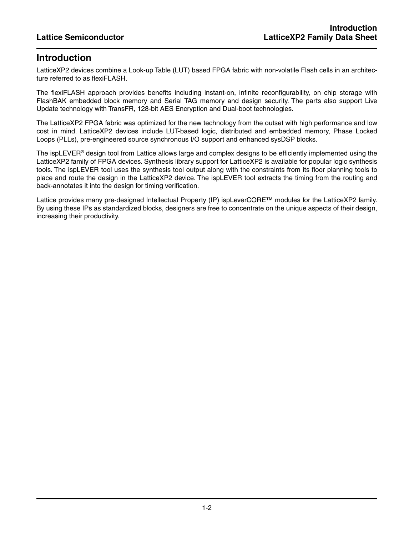# **Introduction**

LatticeXP2 devices combine a Look-up Table (LUT) based FPGA fabric with non-volatile Flash cells in an architecture referred to as flexiFLASH.

The flexiFLASH approach provides benefits including instant-on, infinite reconfigurability, on chip storage with FlashBAK embedded block memory and Serial TAG memory and design security. The parts also support Live Update technology with TransFR, 128-bit AES Encryption and Dual-boot technologies.

The LatticeXP2 FPGA fabric was optimized for the new technology from the outset with high performance and low cost in mind. LatticeXP2 devices include LUT-based logic, distributed and embedded memory, Phase Locked Loops (PLLs), pre-engineered source synchronous I/O support and enhanced sysDSP blocks.

The ispLEVER® design tool from Lattice allows large and complex designs to be efficiently implemented using the LatticeXP2 family of FPGA devices. Synthesis library support for LatticeXP2 is available for popular logic synthesis tools. The ispLEVER tool uses the synthesis tool output along with the constraints from its floor planning tools to place and route the design in the LatticeXP2 device. The ispLEVER tool extracts the timing from the routing and back-annotates it into the design for timing verification.

Lattice provides many pre-designed Intellectual Property (IP) ispLeverCORE™ modules for the LatticeXP2 family. By using these IPs as standardized blocks, designers are free to concentrate on the unique aspects of their design, increasing their productivity.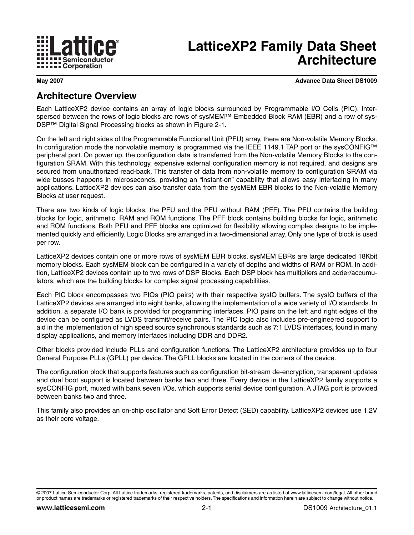

# **LatticeXP2 Family Data Sheet Architecture**

**May 2007 Advance Data Sheet DS1009**

### **Architecture Overview**

Each LatticeXP2 device contains an array of logic blocks surrounded by Programmable I/O Cells (PIC). Interspersed between the rows of logic blocks are rows of sysMEM™ Embedded Block RAM (EBR) and a row of sys-DSP™ Digital Signal Processing blocks as shown in Figure 2-1.

On the left and right sides of the Programmable Functional Unit (PFU) array, there are Non-volatile Memory Blocks. In configuration mode the nonvolatile memory is programmed via the IEEE 1149.1 TAP port or the sysCONFIG™ peripheral port. On power up, the configuration data is transferred from the Non-volatile Memory Blocks to the configuration SRAM. With this technology, expensive external configuration memory is not required, and designs are secured from unauthorized read-back. This transfer of data from non-volatile memory to configuration SRAM via wide busses happens in microseconds, providing an "instant-on" capability that allows easy interfacing in many applications. LatticeXP2 devices can also transfer data from the sysMEM EBR blocks to the Non-volatile Memory Blocks at user request.

There are two kinds of logic blocks, the PFU and the PFU without RAM (PFF). The PFU contains the building blocks for logic, arithmetic, RAM and ROM functions. The PFF block contains building blocks for logic, arithmetic and ROM functions. Both PFU and PFF blocks are optimized for flexibility allowing complex designs to be implemented quickly and efficiently. Logic Blocks are arranged in a two-dimensional array. Only one type of block is used per row.

LatticeXP2 devices contain one or more rows of sysMEM EBR blocks. sysMEM EBRs are large dedicated 18Kbit memory blocks. Each sysMEM block can be configured in a variety of depths and widths of RAM or ROM. In addition, LatticeXP2 devices contain up to two rows of DSP Blocks. Each DSP block has multipliers and adder/accumulators, which are the building blocks for complex signal processing capabilities.

Each PIC block encompasses two PIOs (PIO pairs) with their respective sysIO buffers. The sysIO buffers of the LatticeXP2 devices are arranged into eight banks, allowing the implementation of a wide variety of I/O standards. In addition, a separate I/O bank is provided for programming interfaces. PIO pairs on the left and right edges of the device can be configured as LVDS transmit/receive pairs. The PIC logic also includes pre-engineered support to aid in the implementation of high speed source synchronous standards such as 7:1 LVDS interfaces, found in many display applications, and memory interfaces including DDR and DDR2.

Other blocks provided include PLLs and configuration functions. The LatticeXP2 architecture provides up to four General Purpose PLLs (GPLL) per device. The GPLL blocks are located in the corners of the device.

The configuration block that supports features such as configuration bit-stream de-encryption, transparent updates and dual boot support is located between banks two and three. Every device in the LatticeXP2 family supports a sysCONFIG port, muxed with bank seven I/Os, which supports serial device configuration. A JTAG port is provided between banks two and three.

This family also provides an on-chip oscillator and Soft Error Detect (SED) capability. LatticeXP2 devices use 1.2V as their core voltage.

<sup>©</sup> 2007 Lattice Semiconductor Corp. All Lattice trademarks, registered trademarks, patents, and disclaimers are as listed at www.latticesemi.com/legal. All other brand or product names are trademarks or registered trademarks of their respective holders.The specifications and information herein are subject to change without notice.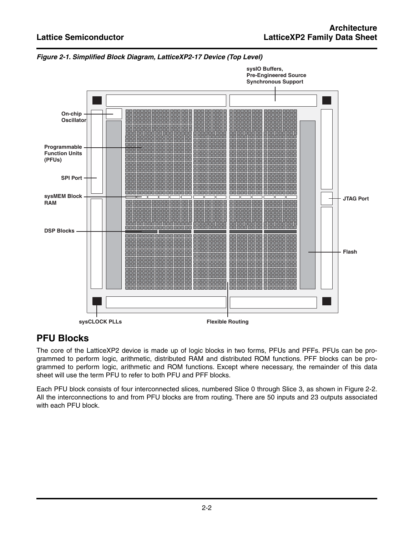

**Figure 2-1. Simplified Block Diagram, LatticeXP2-17 Device (Top Level)**

# **PFU Blocks**

The core of the LatticeXP2 device is made up of logic blocks in two forms, PFUs and PFFs. PFUs can be programmed to perform logic, arithmetic, distributed RAM and distributed ROM functions. PFF blocks can be programmed to perform logic, arithmetic and ROM functions. Except where necessary, the remainder of this data sheet will use the term PFU to refer to both PFU and PFF blocks.

Each PFU block consists of four interconnected slices, numbered Slice 0 through Slice 3, as shown in Figure 2-2. All the interconnections to and from PFU blocks are from routing. There are 50 inputs and 23 outputs associated with each PFU block.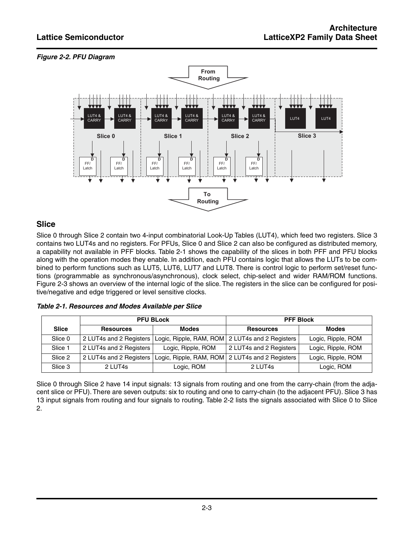#### **Figure 2-2. PFU Diagram**



#### **Slice**

Slice 0 through Slice 2 contain two 4-input combinatorial Look-Up Tables (LUT4), which feed two registers. Slice 3 contains two LUT4s and no registers. For PFUs, Slice 0 and Slice 2 can also be configured as distributed memory, a capability not available in PFF blocks. Table 2-1 shows the capability of the slices in both PFF and PFU blocks along with the operation modes they enable. In addition, each PFU contains logic that allows the LUTs to be combined to perform functions such as LUT5, LUT6, LUT7 and LUT8. There is control logic to perform set/reset functions (programmable as synchronous/asynchronous), clock select, chip-select and wider RAM/ROM functions. Figure 2-3 shows an overview of the internal logic of the slice. The registers in the slice can be configured for positive/negative and edge triggered or level sensitive clocks.

| Table 2-1. Resources and Modes Available per Slice |  |  |
|----------------------------------------------------|--|--|
|                                                    |  |  |

|         |                         | <b>PFU BLock</b>   | <b>PFF Block</b>                                |                    |  |
|---------|-------------------------|--------------------|-------------------------------------------------|--------------------|--|
| Slice   | <b>Resources</b>        | <b>Modes</b>       | <b>Resources</b>                                | <b>Modes</b>       |  |
| Slice 0 | 2 LUT4s and 2 Registers |                    | Logic, Ripple, RAM, ROM 2 LUT4s and 2 Registers | Logic, Ripple, ROM |  |
| Slice 1 | 2 LUT4s and 2 Registers | Logic, Ripple, ROM | 2 LUT4s and 2 Registers                         | Logic, Ripple, ROM |  |
| Slice 2 | 2 LUT4s and 2 Registers |                    | Logic, Ripple, RAM, ROM 2 LUT4s and 2 Registers | Logic, Ripple, ROM |  |
| Slice 3 | 2 LUT4s                 | Logic, ROM         | 2 LUT4s                                         | Logic, ROM         |  |

Slice 0 through Slice 2 have 14 input signals: 13 signals from routing and one from the carry-chain (from the adjacent slice or PFU).There are seven outputs: six to routing and one to carry-chain (to the adjacent PFU). Slice 3 has 13 input signals from routing and four signals to routing. Table 2-2 lists the signals associated with Slice 0 to Slice 2.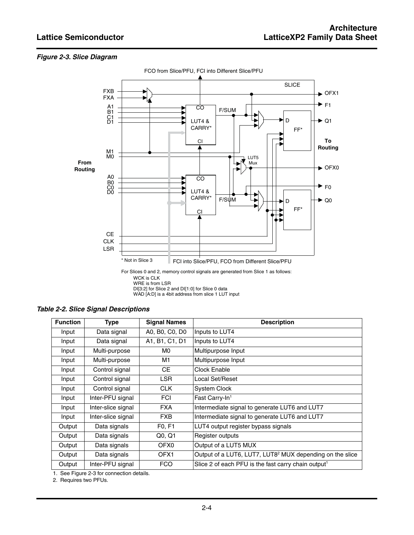#### **Figure 2-3. Slice Diagram**



WAD [A:D] is a 4bit address from slice 1 LUT input

| <b>Function</b> | Type               | <b>Signal Names</b>             | <b>Description</b>                                                   |
|-----------------|--------------------|---------------------------------|----------------------------------------------------------------------|
| Input           | Data signal        | A0, B0, C0, D0                  | Inputs to LUT4                                                       |
| Input           | Data signal        | A1, B1, C1, D1                  | Inputs to LUT4                                                       |
| Input           | Multi-purpose      | M0.                             | Multipurpose Input                                                   |
| Input           | Multi-purpose      | M1                              | Multipurpose Input                                                   |
| Input           | Control signal     | CЕ                              | Clock Enable                                                         |
| Input           | Control signal     | LSR.                            | Local Set/Reset                                                      |
| Input           | Control signal     | <b>CLK</b>                      | <b>System Clock</b>                                                  |
| Input           | Inter-PFU signal   | <b>FCI</b>                      | Fast Carry-In <sup>1</sup>                                           |
| Input           | Inter-slice signal | <b>FXA</b>                      | Intermediate signal to generate LUT6 and LUT7                        |
| Input           | Inter-slice signal | <b>FXB</b>                      | Intermediate signal to generate LUT6 and LUT7                        |
| Output          | Data signals       | F <sub>0</sub> , F <sub>1</sub> | LUT4 output register bypass signals                                  |
| Output          | Data signals       | Q0, Q1                          | Register outputs                                                     |
| Output          | Data signals       | OFX0                            | Output of a LUT5 MUX                                                 |
| Output          | Data signals       | OFX <sub>1</sub>                | Output of a LUT6, LUT7, LUT8 <sup>2</sup> MUX depending on the slice |
| Output          | Inter-PFU signal   | <b>FCO</b>                      | Slice 2 of each PFU is the fast carry chain output <sup>1</sup>      |

1. See Figure 2-3 for connection details.

2. Requires two PFUs.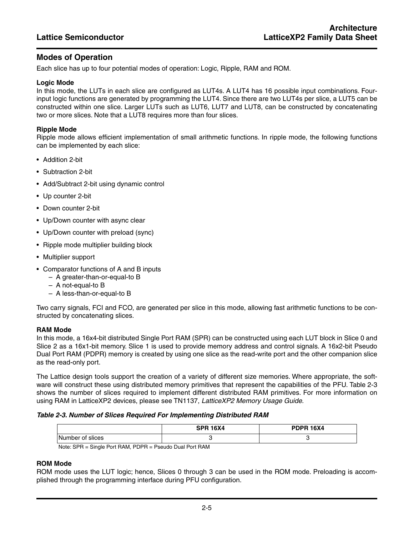#### **Modes of Operation**

Each slice has up to four potential modes of operation: Logic, Ripple, RAM and ROM.

#### **Logic Mode**

In this mode, the LUTs in each slice are configured as LUT4s. A LUT4 has 16 possible input combinations. Fourinput logic functions are generated by programming the LUT4. Since there are two LUT4s per slice, a LUT5 can be constructed within one slice. Larger LUTs such as LUT6, LUT7 and LUT8, can be constructed by concatenating two or more slices. Note that a LUT8 requires more than four slices.

#### **Ripple Mode**

Ripple mode allows efficient implementation of small arithmetic functions. In ripple mode, the following functions can be implemented by each slice:

- Addition 2-bit
- Subtraction 2-bit
- Add/Subtract 2-bit using dynamic control
- Up counter 2-bit
- Down counter 2-bit
- Up/Down counter with async clear
- Up/Down counter with preload (sync)
- Ripple mode multiplier building block
- Multiplier support
- Comparator functions of A and B inputs
	- A greater-than-or-equal-to B
	- A not-equal-to B
	- A less-than-or-equal-to B

Two carry signals, FCI and FCO, are generated per slice in this mode, allowing fast arithmetic functions to be constructed by concatenating slices.

#### **RAM Mode**

In this mode, a 16x4-bit distributed Single Port RAM (SPR) can be constructed using each LUT block in Slice 0 and Slice 2 as a 16x1-bit memory. Slice 1 is used to provide memory address and control signals. A 16x2-bit Pseudo Dual Port RAM (PDPR) memory is created by using one slice as the read-write port and the other companion slice as the read-only port.

The Lattice design tools support the creation of a variety of different size memories. Where appropriate, the software will construct these using distributed memory primitives that represent the capabilities of the PFU. Table 2-3 shows the number of slices required to implement different distributed RAM primitives. For more information on using RAM in LatticeXP2 devices, please see TN1137, LatticeXP2 Memory Usage Guide.

#### **Table 2-3. Number of Slices Required For Implementing Distributed RAM**

| Number of slices |  |
|------------------|--|

Note: SPR = Single Port RAM, PDPR = Pseudo Dual Port RAM

#### **ROM Mode**

ROM mode uses the LUT logic; hence, Slices 0 through 3 can be used in the ROM mode. Preloading is accomplished through the programming interface during PFU configuration.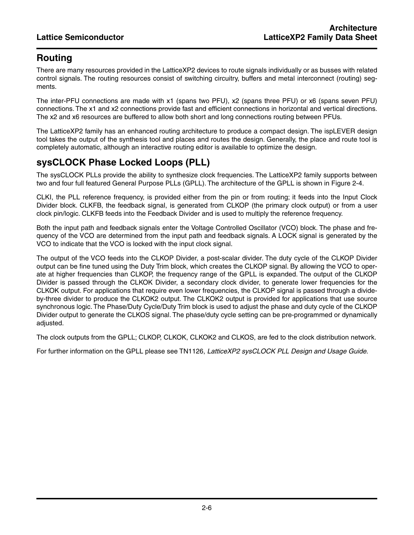# **Routing**

There are many resources provided in the LatticeXP2 devices to route signals individually or as busses with related control signals. The routing resources consist of switching circuitry, buffers and metal interconnect (routing) segments.

The inter-PFU connections are made with x1 (spans two PFU), x2 (spans three PFU) or x6 (spans seven PFU) connections. The x1 and x2 connections provide fast and efficient connections in horizontal and vertical directions. The x2 and x6 resources are buffered to allow both short and long connections routing between PFUs.

The LatticeXP2 family has an enhanced routing architecture to produce a compact design. The ispLEVER design tool takes the output of the synthesis tool and places and routes the design. Generally, the place and route tool is completely automatic, although an interactive routing editor is available to optimize the design.

# **sysCLOCK Phase Locked Loops (PLL)**

The sysCLOCK PLLs provide the ability to synthesize clock frequencies. The LatticeXP2 family supports between two and four full featured General Purpose PLLs (GPLL). The architecture of the GPLL is shown in Figure 2-4.

CLKI, the PLL reference frequency, is provided either from the pin or from routing; it feeds into the Input Clock Divider block. CLKFB, the feedback signal, is generated from CLKOP (the primary clock output) or from a user clock pin/logic. CLKFB feeds into the Feedback Divider and is used to multiply the reference frequency.

Both the input path and feedback signals enter the Voltage Controlled Oscillator (VCO) block. The phase and frequency of the VCO are determined from the input path and feedback signals. A LOCK signal is generated by the VCO to indicate that the VCO is locked with the input clock signal.

The output of the VCO feeds into the CLKOP Divider, a post-scalar divider. The duty cycle of the CLKOP Divider output can be fine tuned using the Duty Trim block, which creates the CLKOP signal. By allowing the VCO to operate at higher frequencies than CLKOP, the frequency range of the GPLL is expanded. The output of the CLKOP Divider is passed through the CLKOK Divider, a secondary clock divider, to generate lower frequencies for the CLKOK output. For applications that require even lower frequencies, the CLKOP signal is passed through a divideby-three divider to produce the CLKOK2 output. The CLKOK2 output is provided for applications that use source synchronous logic. The Phase/Duty Cycle/Duty Trim block is used to adjust the phase and duty cycle of the CLKOP Divider output to generate the CLKOS signal. The phase/duty cycle setting can be pre-programmed or dynamically adjusted.

The clock outputs from the GPLL; CLKOP, CLKOK, CLKOK2 and CLKOS, are fed to the clock distribution network.

For further information on the GPLL please see TN1126, LatticeXP2 sysCLOCK PLL Design and Usage Guide.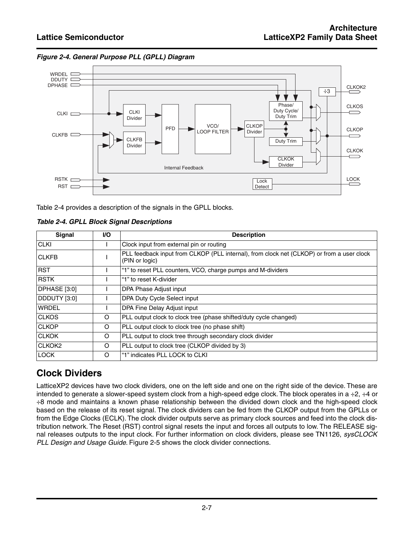**Figure 2-4. General Purpose PLL (GPLL) Diagram**



Table 2-4 provides a description of the signals in the GPLL blocks.

| <b>Table 2-4. GPLL Block Signal Descriptions</b> |
|--------------------------------------------------|
|--------------------------------------------------|

| Signal        | <b>VO</b> | <b>Description</b>                                                                                          |  |
|---------------|-----------|-------------------------------------------------------------------------------------------------------------|--|
| <b>CLKI</b>   |           | Clock input from external pin or routing                                                                    |  |
| <b>CLKFB</b>  |           | PLL feedback input from CLKOP (PLL internal), from clock net (CLKOP) or from a user clock<br>(PIN or logic) |  |
| <b>RST</b>    |           | "1" to reset PLL counters, VCO, charge pumps and M-dividers                                                 |  |
| <b>RSTK</b>   |           | "1" to reset K-divider                                                                                      |  |
| DPHASE [3:0]  |           | DPA Phase Adjust input                                                                                      |  |
| DDDUTY [3:0]  |           | DPA Duty Cycle Select input                                                                                 |  |
| <b>WRDEL</b>  |           | DPA Fine Delay Adjust input                                                                                 |  |
| <b>CLKOS</b>  | O         | PLL output clock to clock tree (phase shifted/duty cycle changed)                                           |  |
| <b>CLKOP</b>  | O         | PLL output clock to clock tree (no phase shift)                                                             |  |
| <b>CLKOK</b>  | $\circ$   | PLL output to clock tree through secondary clock divider                                                    |  |
| <b>CLKOK2</b> | $\circ$   | PLL output to clock tree (CLKOP divided by 3)                                                               |  |
| <b>LOCK</b>   | $\Omega$  | "1" indicates PLL LOCK to CLKI                                                                              |  |

# **Clock Dividers**

LatticeXP2 devices have two clock dividers, one on the left side and one on the right side of the device. These are intended to generate a slower-speed system clock from a high-speed edge clock. The block operates in a ÷2, ÷4 or ÷8 mode and maintains a known phase relationship between the divided down clock and the high-speed clock based on the release of its reset signal. The clock dividers can be fed from the CLKOP output from the GPLLs or from the Edge Clocks (ECLK). The clock divider outputs serve as primary clock sources and feed into the clock distribution network. The Reset (RST) control signal resets the input and forces all outputs to low. The RELEASE signal releases outputs to the input clock. For further information on clock dividers, please see TN1126, sysCLOCK PLL Design and Usage Guide. Figure 2-5 shows the clock divider connections.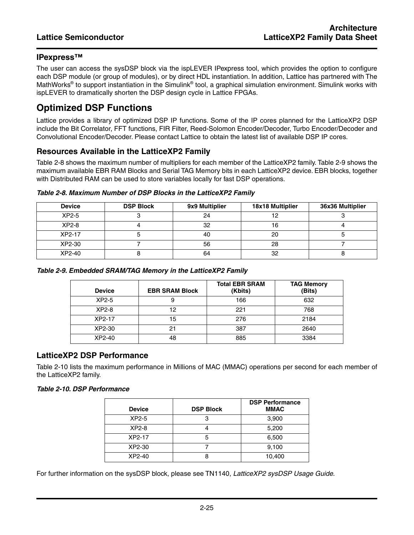#### **IPexpress™**

The user can access the sysDSP block via the ispLEVER IPexpress tool, which provides the option to configure each DSP module (or group of modules), or by direct HDL instantiation. In addition, Lattice has partnered with The MathWorks<sup>®</sup> to support instantiation in the Simulink<sup>®</sup> tool, a graphical simulation environment. Simulink works with ispLEVER to dramatically shorten the DSP design cycle in Lattice FPGAs.

## **Optimized DSP Functions**

Lattice provides a library of optimized DSP IP functions. Some of the IP cores planned for the LatticeXP2 DSP include the Bit Correlator, FFT functions, FIR Filter, Reed-Solomon Encoder/Decoder, Turbo Encoder/Decoder and Convolutional Encoder/Decoder. Please contact Lattice to obtain the latest list of available DSP IP cores.

#### **Resources Available in the LatticeXP2 Family**

Table 2-8 shows the maximum number of multipliers for each member of the LatticeXP2 family. Table 2-9 shows the maximum available EBR RAM Blocks and Serial TAG Memory bits in each LatticeXP2 device. EBR blocks, together with Distributed RAM can be used to store variables locally for fast DSP operations.

| <b>Device</b> | <b>DSP Block</b> | 9x9 Multiplier | 18x18 Multiplier | 36x36 Multiplier |
|---------------|------------------|----------------|------------------|------------------|
| XP2-5         |                  | 24             | 12               |                  |
| $XP2-8$       |                  | 32             | 16               |                  |
| XP2-17        |                  | 40             | 20               |                  |
| XP2-30        |                  | 56             | 28               |                  |
| XP2-40        |                  | 64             | 32               |                  |

#### **Table 2-8. Maximum Number of DSP Blocks in the LatticeXP2 Family**

| Table 2-9. Embedded SRAM/TAG Memory in the LatticeXP2 Family |  |
|--------------------------------------------------------------|--|
|                                                              |  |

| <b>Device</b> | <b>EBR SRAM Block</b> | <b>Total EBR SRAM</b><br>(Kbits) | <b>TAG Memory</b><br>(Bits) |
|---------------|-----------------------|----------------------------------|-----------------------------|
| $XP2-5$       | 9                     | 166                              | 632                         |
| $XP2-8$       | 12                    | 221                              | 768                         |
| XP2-17        | 15                    | 276                              | 2184                        |
| XP2-30        | 21                    | 387                              | 2640                        |
| XP2-40        | 48                    | 885                              | 3384                        |

#### **LatticeXP2 DSP Performance**

Table 2-10 lists the maximum performance in Millions of MAC (MMAC) operations per second for each member of the LatticeXP2 family.

#### **Table 2-10. DSP Performance**

| <b>Device</b> | <b>DSP Block</b> | <b>DSP Performance</b><br><b>MMAC</b> |
|---------------|------------------|---------------------------------------|
| $XP2-5$       |                  | 3,900                                 |
| $XP2-8$       |                  | 5,200                                 |
| XP2-17        | 5                | 6,500                                 |
| XP2-30        |                  | 9,100                                 |
| XP2-40        |                  | 10,400                                |

For further information on the sysDSP block, please see TN1140, LatticeXP2 sysDSP Usage Guide.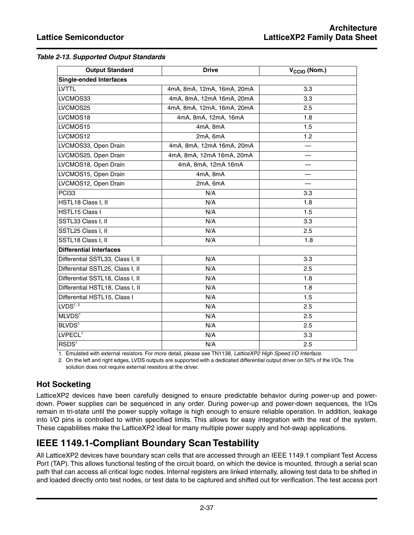| <b>Output Standard</b>           | <b>Drive</b>               | V <sub>CCIO</sub> (Nom.) |  |
|----------------------------------|----------------------------|--------------------------|--|
| <b>Single-ended Interfaces</b>   |                            |                          |  |
| <b>LVTTL</b>                     | 4mA, 8mA, 12mA, 16mA, 20mA | 3.3                      |  |
| LVCMOS33                         | 4mA, 8mA, 12mA 16mA, 20mA  | 3.3                      |  |
| LVCMOS25                         | 4mA, 8mA, 12mA, 16mA, 20mA | 2.5                      |  |
| LVCMOS18                         | 4mA, 8mA, 12mA, 16mA       | 1.8                      |  |
| LVCMOS15                         | 4mA, 8mA                   | 1.5                      |  |
| LVCMOS12                         | 2mA, 6mA                   | 1.2                      |  |
| LVCMOS33, Open Drain             | 4mA, 8mA, 12mA 16mA, 20mA  |                          |  |
| LVCMOS25, Open Drain             | 4mA, 8mA, 12mA 16mA, 20mA  |                          |  |
| LVCMOS18, Open Drain             | 4mA, 8mA, 12mA 16mA        |                          |  |
| LVCMOS15, Open Drain             | 4mA, 8mA                   |                          |  |
| LVCMOS12, Open Drain             | 2mA, 6mA                   |                          |  |
| PCI33                            | N/A                        | 3.3                      |  |
| HSTL18 Class I, II               | N/A                        | 1.8                      |  |
| HSTL15 Class I                   | N/A                        | 1.5                      |  |
| SSTL33 Class I, II               | N/A                        | 3.3                      |  |
| SSTL25 Class I, II               | N/A                        | 2.5                      |  |
| SSTL18 Class I, II               | N/A                        | 1.8                      |  |
| <b>Differential Interfaces</b>   |                            |                          |  |
| Differential SSTL33, Class I, II | N/A                        | 3.3                      |  |
| Differential SSTL25, Class I, II | N/A                        | 2.5                      |  |
| Differential SSTL18, Class I, II | N/A                        | 1.8                      |  |
| Differential HSTL18, Class I, II | N/A                        | 1.8                      |  |
| Differential HSTL15, Class I     | N/A                        | 1.5                      |  |
| LVDS <sup>1, 2</sup>             | N/A                        | 2.5                      |  |
| MLVDS <sup>1</sup>               | N/A                        | 2.5                      |  |
| <b>BLVDS<sup>1</sup></b>         | N/A                        | 2.5                      |  |
| LVPECL <sup>1</sup>              | N/A                        | 3.3                      |  |
| RSDS <sup>1</sup>                | N/A                        | 2.5                      |  |

1. Emulated with external resistors. For more detail, please see TN1138, LatticeXP2 High Speed I/O Interface.

2. On the left and right edges, LVDS outputs are supported with a dedicated differential output driver on 50% of the I/Os.This solution does not require external resistors at the driver.

#### **Hot Socketing**

LatticeXP2 devices have been carefully designed to ensure predictable behavior during power-up and powerdown. Power supplies can be sequenced in any order. During power-up and power-down sequences, the I/Os remain in tri-state until the power supply voltage is high enough to ensure reliable operation. In addition, leakage into I/O pins is controlled to within specified limits. This allows for easy integration with the rest of the system. These capabilities make the LatticeXP2 ideal for many multiple power supply and hot-swap applications.

# **IEEE 1149.1-Compliant Boundary Scan Testability**

All LatticeXP2 devices have boundary scan cells that are accessed through an IEEE 1149.1 compliant Test Access Port (TAP). This allows functional testing of the circuit board, on which the device is mounted, through a serial scan path that can access all critical logic nodes. Internal registers are linked internally, allowing test data to be shifted in and loaded directly onto test nodes, or test data to be captured and shifted out for verification. The test access port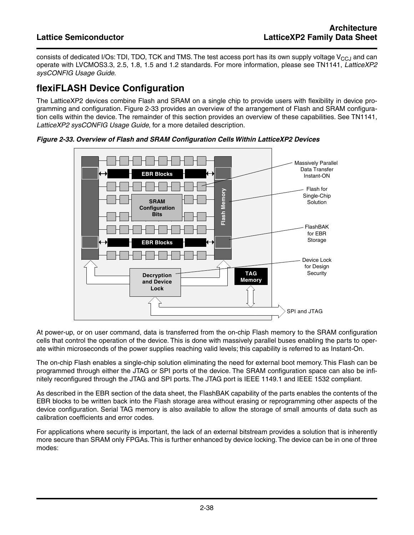consists of dedicated I/Os: TDI, TDO, TCK and TMS. The test access port has its own supply voltage  $V_{CC,1}$  and can operate with LVCMOS3.3, 2.5, 1.8, 1.5 and 1.2 standards. For more information, please see TN1141, LatticeXP2 sysCONFIG Usage Guide.

# **flexiFLASH Device Configuration**

The LatticeXP2 devices combine Flash and SRAM on a single chip to provide users with flexibility in device programming and configuration. Figure 2-33 provides an overview of the arrangement of Flash and SRAM configuration cells within the device. The remainder of this section provides an overview of these capabilities. See TN1141, LatticeXP2 sysCONFIG Usage Guide, for a more detailed description.



**Figure 2-33. Overview of Flash and SRAM Configuration Cells Within LatticeXP2 Devices**

At power-up, or on user command, data is transferred from the on-chip Flash memory to the SRAM configuration cells that control the operation of the device. This is done with massively parallel buses enabling the parts to operate within microseconds of the power supplies reaching valid levels; this capability is referred to as Instant-On.

The on-chip Flash enables a single-chip solution eliminating the need for external boot memory. This Flash can be programmed through either the JTAG or SPI ports of the device. The SRAM configuration space can also be infinitely reconfigured through the JTAG and SPI ports. The JTAG port is IEEE 1149.1 and IEEE 1532 compliant.

As described in the EBR section of the data sheet, the FlashBAK capability of the parts enables the contents of the EBR blocks to be written back into the Flash storage area without erasing or reprogramming other aspects of the device configuration. Serial TAG memory is also available to allow the storage of small amounts of data such as calibration coefficients and error codes.

For applications where security is important, the lack of an external bitstream provides a solution that is inherently more secure than SRAM only FPGAs. This is further enhanced by device locking. The device can be in one of three modes: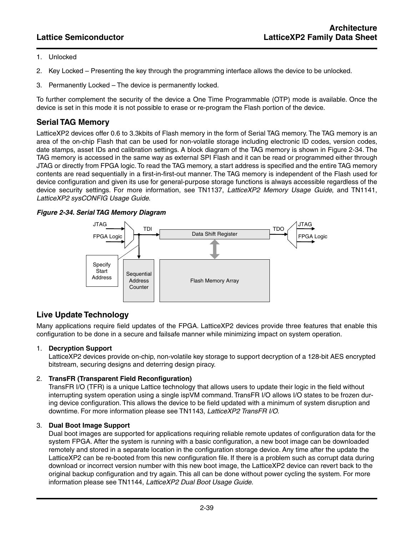- 1. Unlocked
- 2. Key Locked Presenting the key through the programming interface allows the device to be unlocked.
- 3. Permanently Locked The device is permanently locked.

To further complement the security of the device a One Time Programmable (OTP) mode is available. Once the device is set in this mode it is not possible to erase or re-program the Flash portion of the device.

#### **Serial TAG Memory**

LatticeXP2 devices offer 0.6 to 3.3kbits of Flash memory in the form of Serial TAG memory. The TAG memory is an area of the on-chip Flash that can be used for non-volatile storage including electronic ID codes, version codes, date stamps, asset IDs and calibration settings. A block diagram of the TAG memory is shown in Figure 2-34. The TAG memory is accessed in the same way as external SPI Flash and it can be read or programmed either through JTAG or directly from FPGA logic.To read the TAG memory, a start address is specified and the entire TAG memory contents are read sequentially in a first-in-first-out manner. The TAG memory is independent of the Flash used for device configuration and given its use for general-purpose storage functions is always accessible regardless of the device security settings. For more information, see TN1137, LatticeXP2 Memory Usage Guide, and TN1141, LatticeXP2 sysCONFIG Usage Guide.

#### **Figure 2-34. Serial TAG Memory Diagram**



#### **Live Update Technology**

Many applications require field updates of the FPGA. LatticeXP2 devices provide three features that enable this configuration to be done in a secure and failsafe manner while minimizing impact on system operation.

#### 1. **Decryption Support**

LatticeXP2 devices provide on-chip, non-volatile key storage to support decryption of a 128-bit AES encrypted bitstream, securing designs and deterring design piracy.

#### 2. **TransFR (Transparent Field Reconfiguration)**

TransFR I/O (TFR) is a unique Lattice technology that allows users to update their logic in the field without interrupting system operation using a single ispVM command. TransFR I/O allows I/O states to be frozen during device configuration. This allows the device to be field updated with a minimum of system disruption and downtime. For more information please see TN1143, LatticeXP2 TransFR I/O.

#### 3. **Dual Boot Image Support**

Dual boot images are supported for applications requiring reliable remote updates of configuration data for the system FPGA. After the system is running with a basic configuration, a new boot image can be downloaded remotely and stored in a separate location in the configuration storage device. Any time after the update the LatticeXP2 can be re-booted from this new configuration file. If there is a problem such as corrupt data during download or incorrect version number with this new boot image, the LatticeXP2 device can revert back to the original backup configuration and try again. This all can be done without power cycling the system. For more information please see TN1144, LatticeXP2 Dual Boot Usage Guide.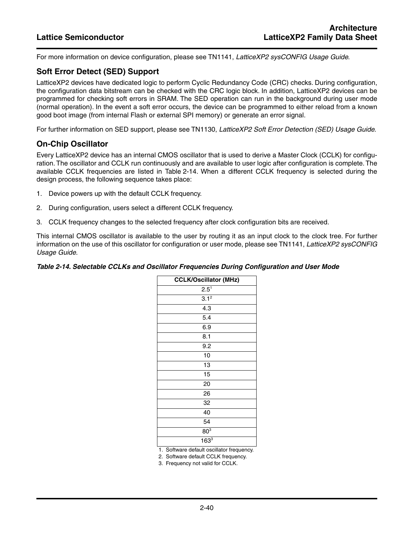For more information on device configuration, please see TN1141, LatticeXP2 sysCONFIG Usage Guide.

#### **Soft Error Detect (SED) Support**

LatticeXP2 devices have dedicated logic to perform Cyclic Redundancy Code (CRC) checks. During configuration, the configuration data bitstream can be checked with the CRC logic block. In addition, LatticeXP2 devices can be programmed for checking soft errors in SRAM. The SED operation can run in the background during user mode (normal operation). In the event a soft error occurs, the device can be programmed to either reload from a known good boot image (from internal Flash or external SPI memory) or generate an error signal.

For further information on SED support, please see TN1130, LatticeXP2 Soft Error Detection (SED) Usage Guide.

#### **On-Chip Oscillator**

Every LatticeXP2 device has an internal CMOS oscillator that is used to derive a Master Clock (CCLK) for configuration. The oscillator and CCLK run continuously and are available to user logic after configuration is complete. The available CCLK frequencies are listed in Table 2-14. When a different CCLK frequency is selected during the design process, the following sequence takes place:

- 1. Device powers up with the default CCLK frequency.
- 2. During configuration, users select a different CCLK frequency.
- 3. CCLK frequency changes to the selected frequency after clock configuration bits are received.

This internal CMOS oscillator is available to the user by routing it as an input clock to the clock tree. For further information on the use of this oscillator for configuration or user mode, please see TN1141, LatticeXP2 sysCONFIG Usage Guide.

#### **Table 2-14. Selectable CCLKs and Oscillator Frequencies During Configuration and User Mode**

| <b>CCLK/Oscillator (MHz)</b>               |
|--------------------------------------------|
| $2.5^1$                                    |
| $3.1^2$                                    |
| 4.3                                        |
| 5.4                                        |
| 6.9                                        |
| 8.1                                        |
| 9.2                                        |
| 10                                         |
| 13                                         |
| 15                                         |
| 20                                         |
| 26                                         |
| 32                                         |
| 40                                         |
| 54                                         |
| 80 <sup>3</sup>                            |
| $163^{3}$                                  |
| Software default oscillator frequency<br>1 |

1. Software default oscillator frequency.

2. Software default CCLK frequency.

3. Frequency not valid for CCLK.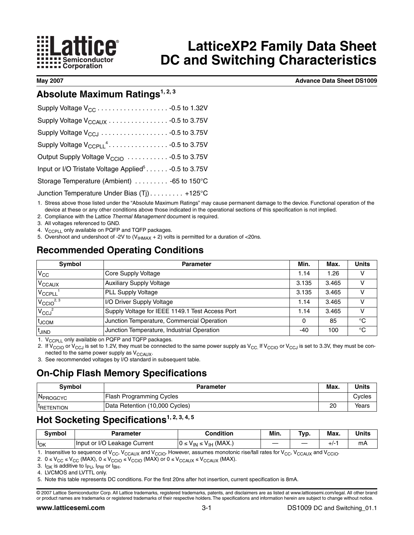

# **LatticeXP2 Family Data Sheet DC and Switching Characteristics**

**May 2007 Advance Data Sheet DS1009**

# **Absolute Maximum Ratings<sup>1, 2, 3</sup>**

| Output Supply Voltage V <sub>CCIO</sub> - 0.5 to 3.75V            |
|-------------------------------------------------------------------|
| Input or I/O Tristate Voltage Applied <sup>5</sup> - 0.5 to 3.75V |
| Storage Temperature (Ambient) -65 to 150°C                        |
| Junction Temperature Under Bias (Tj) +125°C                       |

1. Stress above those listed under the "Absolute Maximum Ratings" may cause permanent damage to the device. Functional operation of the device at these or any other conditions above those indicated in the operational sections of this specification is not implied.

2. Compliance with the Lattice Thermal Management document is required.

3. All voltages referenced to GND.

- 4. V<sub>CCPLL</sub> only available on PQFP and TQFP packages.
- 5. Overshoot and undershoot of -2V to  $(V_{HMAX} + 2)$  volts is permitted for a duration of <20ns.

# **Recommended Operating Conditions**

| Symbol                  | <b>Parameter</b>                                | Min.  | Max.  | <b>Units</b> |
|-------------------------|-------------------------------------------------|-------|-------|--------------|
| $V_{CC}$                | Core Supply Voltage                             | 1.14  | 1.26  | v            |
| V <sub>CCAUX</sub>      | <b>Auxiliary Supply Voltage</b>                 | 3.135 | 3.465 | v            |
| V <sub>CCPLL</sub>      | <b>PLL Supply Voltage</b>                       | 3.135 | 3.465 | v            |
| $V_{\text{CCIO}^{2,3}}$ | I/O Driver Supply Voltage                       | 1.14  | 3.465 | v            |
| $V_{CCJ}^2$             | Supply Voltage for IEEE 1149.1 Test Access Port | 1.14  | 3.465 | v            |
| t <sub>JCOM</sub>       | Junction Temperature, Commercial Operation      | 0     | 85    | $^{\circ}C$  |
| t <sub>JIND</sub>       | Junction Temperature, Industrial Operation      | $-40$ | 100   | °C           |

1.  $V_{C\text{CPLL}}$  only available on PQFP and TQFP packages.

2. If V<sub>CCIO</sub> or V<sub>CCJ</sub> is set to 1.2V, they must be connected to the same power supply as V<sub>CC</sub> If V<sub>CCIO</sub> or V<sub>CCJ</sub> is set to 3.3V, they must be connected to the same power supply as  $V_{CCAUX}$ .

3. See recommended voltages by I/O standard in subsequent table.

### **On-Chip Flash Memory Specifications**

| Svmbol               | <b>Parameter</b>               | Max. | <b>Units</b> |
|----------------------|--------------------------------|------|--------------|
| N <sub>PROGCYC</sub> | Flash Programming Cycles       |      | Cvcles       |
| <b>I-RETENTION</b>   | Data Retention (10,000 Cycles) | 20   | Years        |

# Hot Socketing Specifications<sup>1, 2, 3, 4, 5</sup>

| Svmbol    | Parameter                    | <b>Condition</b>                          | Min. | Typ. | Max.  | <b>Units</b> |
|-----------|------------------------------|-------------------------------------------|------|------|-------|--------------|
| $ I_{DK}$ | Input or I/O Leakage Current | : $V_{IN} \leq V_{IH}$ (MAX.)<br>$0 \leq$ |      |      | $+1-$ | mA           |

1. Insensitive to sequence of  $V_{CC}$ ,  $V_{CCAUX}$  and  $V_{CCIO}$ . However, assumes monotonic rise/fall rates for  $V_{CC}$ ,  $V_{CCAUX}$  and  $V_{CCIO}$ .

2.  $0 \le V_{CC} \le V_{CC}$  (MAX),  $0 \le V_{CCIO} \le V_{CCIO}$  (MAX) or  $0 \le V_{CCAUX} \le V_{CCAUX}$  (MAX).

3.  $I_{DK}$  is additive to  $I_{PU}$ ,  $I_{PW}$  or  $I_{BH}$ .

4. LVCMOS and LVTTL only.

5. Note this table represents DC conditions. For the first 20ns after hot insertion, current specification is 8mA.

© 2007 Lattice Semiconductor Corp. All Lattice trademarks, registered trademarks, patents, and disclaimers are as listed at www.latticesemi.com/legal. All other brand or product names are trademarks or registered trademarks of their respective holders.The specifications and information herein are subject to change without notice.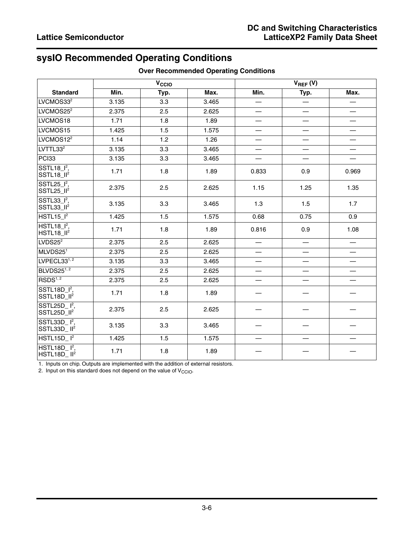# **sysIO Recommended Operating Conditions**

|                                                      |       | V <sub>CCIO</sub> |       |                          |                          |                                  |
|------------------------------------------------------|-------|-------------------|-------|--------------------------|--------------------------|----------------------------------|
| <b>Standard</b>                                      | Min.  | Typ.              | Max.  | Min.                     | $V_{REF} (V)$<br>Typ.    | Max.                             |
| LVCMOS33 <sup>2</sup>                                | 3.135 | 3.3               | 3.465 |                          |                          |                                  |
| LVCMOS25 <sup>2</sup>                                | 2.375 | 2.5               | 2.625 |                          |                          |                                  |
| LVCMOS18                                             | 1.71  | 1.8               | 1.89  | $\overline{\phantom{0}}$ | $\overline{\phantom{0}}$ |                                  |
| LVCMOS15                                             | 1.425 | 1.5               | 1.575 |                          | $\overline{\phantom{0}}$ |                                  |
| LVCMOS12 <sup>2</sup>                                | 1.14  | 1.2               | 1.26  |                          | $\overline{\phantom{0}}$ | $\overbrace{\phantom{12322111}}$ |
| LVTTL33 <sup>2</sup>                                 | 3.135 | 3.3               | 3.465 |                          | $\overline{\phantom{0}}$ |                                  |
| PCI33                                                | 3.135 | 3.3               | 3.465 |                          | $\overline{\phantom{0}}$ |                                  |
| SSTL <sub>18</sub> $I^2$ ,<br>SSTL18_II <sup>2</sup> | 1.71  | 1.8               | 1.89  | 0.833                    | 0.9                      | 0.969                            |
| SSTL25 $I^2$ ,<br>SSTL25_II <sup>2</sup>             | 2.375 | 2.5               | 2.625 | 1.15                     | 1.25                     | 1.35                             |
| SSTL33 $1^2$ ,<br>SSTL33_II <sup>2</sup>             | 3.135 | 3.3               | 3.465 | 1.3                      | 1.5                      | 1.7                              |
| HSTL15 <sup>2</sup>                                  | 1.425 | 1.5               | 1.575 | 0.68                     | 0.75                     | 0.9                              |
| $HSTL18$ <sup>2</sup> ,<br>HSTL18_II <sup>2</sup>    | 1.71  | 1.8               | 1.89  | 0.816                    | 0.9                      | 1.08                             |
| LVDS25 <sup>2</sup>                                  | 2.375 | 2.5               | 2.625 |                          |                          |                                  |
| MLVDS251                                             | 2.375 | 2.5               | 2.625 | $\overline{\phantom{0}}$ | $\overline{\phantom{0}}$ |                                  |
| LVPECL33 <sup>1, 2</sup>                             | 3.135 | 3.3               | 3.465 |                          |                          |                                  |
| BLVDS251,2                                           | 2.375 | 2.5               | 2.625 |                          |                          |                                  |
| RSDS <sup>1, 2</sup>                                 | 2.375 | 2.5               | 2.625 |                          |                          |                                  |
| $SSTL18D_l^2$ ,<br>SSTL18D_II <sup>2</sup>           | 1.71  | 1.8               | 1.89  |                          |                          |                                  |
| SSTL25D $I^2$ ,<br>SSTL25D_II <sup>2</sup>           | 2.375 | 2.5               | 2.625 |                          |                          |                                  |
| SSTL33D $I^2$ ,<br>SSTL33D_II <sup>2</sup>           | 3.135 | 3.3               | 3.465 |                          |                          |                                  |
| HSTL15D <sub>1</sub> <sup>2</sup>                    | 1.425 | 1.5               | 1.575 |                          |                          |                                  |
| $HSTL18D12$ ,<br>$HSTL18D$ $II2$                     | 1.71  | 1.8               | 1.89  |                          |                          |                                  |

#### **Over Recommended Operating Conditions**

1. Inputs on chip. Outputs are implemented with the addition of external resistors.

2. Input on this standard does not depend on the value of  $V^{\rm{CCIO}}$ .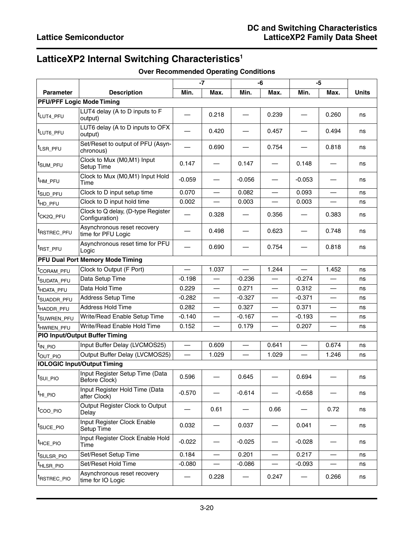# **LatticeXP2 Internal Switching Characteristics1**

|                         |                                                      | $-7$<br>-6 |                          | $-5$                             |                          |                          |                          |       |
|-------------------------|------------------------------------------------------|------------|--------------------------|----------------------------------|--------------------------|--------------------------|--------------------------|-------|
| <b>Parameter</b>        | <b>Description</b>                                   | Min.       | Max.                     | Min.                             | Max.                     | Min.                     | Max.                     | Units |
|                         | <b>PFU/PFF Logic Mode Timing</b>                     |            |                          |                                  |                          |                          |                          |       |
| <sup>t</sup> LUT4_PFU   | LUT4 delay (A to D inputs to F<br>output)            |            | 0.218                    |                                  | 0.239                    |                          | 0.260                    | ns    |
| tLUT6_PFU               | LUT6 delay (A to D inputs to OFX<br>output)          |            | 0.420                    |                                  | 0.457                    |                          | 0.494                    | ns    |
| <sup>t</sup> LSR_PFU    | Set/Reset to output of PFU (Asyn-<br>chronous)       |            | 0.690                    |                                  | 0.754                    |                          | 0.818                    | ns    |
| <sup>∣t</sup> sum_PF∪   | Clock to Mux (M0,M1) Input<br>Setup Time             | 0.147      |                          | 0.147                            |                          | 0.148                    |                          | ns    |
| <sup>t</sup> HM_PFU     | Clock to Mux (M0,M1) Input Hold<br>Time              | $-0.059$   |                          | $-0.056$                         |                          | $-0.053$                 |                          | ns    |
| t <sub>SUD_PFU</sub>    | Clock to D input setup time                          | 0.070      | $\overline{\phantom{0}}$ | 0.082                            |                          | 0.093                    | $\overline{\phantom{0}}$ | ns    |
| <sup>t</sup> HD_PFU     | Clock to D input hold time                           | 0.002      |                          | 0.003                            |                          | 0.003                    |                          | ns    |
| t <sub>CK2Q</sub> _PFU  | Clock to Q delay, (D-type Register<br>Configuration) |            | 0.328                    |                                  | 0.356                    |                          | 0.383                    | ns    |
| t <sub>RSTREC_PFU</sub> | Asynchronous reset recovery<br>time for PFU Logic    |            | 0.498                    |                                  | 0.623                    |                          | 0.748                    | ns    |
| t <sub>RST_PFU</sub>    | Asynchronous reset time for PFU<br>Logic             |            | 0.690                    |                                  | 0.754                    |                          | 0.818                    | ns    |
|                         | <b>PFU Dual Port Memory Mode Timing</b>              |            |                          |                                  |                          |                          |                          |       |
| <sup>I</sup> CORAM_PFU  | Clock to Output (F Port)                             |            | 1.037                    | $\overline{\phantom{0}}$         | 1.244                    | $\overline{\phantom{0}}$ | 1.452                    | ns    |
| <sup>t</sup> SUDATA_PFU | Data Setup Time                                      | $-0.198$   |                          | $-0.236$                         |                          | $-0.274$                 |                          | ns    |
| <sup>t</sup> HDATA_PFU  | Data Hold Time                                       | 0.229      |                          | 0.271                            | $\overline{\phantom{0}}$ | 0.312                    |                          | ns    |
| <sup>t</sup> SUADDR_PFU | <b>Address Setup Time</b>                            | $-0.282$   | $\overline{\phantom{0}}$ | $-0.327$                         |                          | $-0.371$                 | $\overline{\phantom{0}}$ | ns    |
| <sup>t</sup> HADDR_PFU  | Address Hold Time                                    | 0.282      |                          | 0.327                            |                          | 0.371                    |                          | ns    |
| t <sub>SUWREN_PFU</sub> | Write/Read Enable Setup Time                         | $-0.140$   | $\overline{\phantom{0}}$ | $-0.167$                         |                          | $-0.193$                 |                          | ns    |
| <sup>t</sup> HWREN_PFU  | Write/Read Enable Hold Time                          | 0.152      |                          | 0.179                            |                          | 0.207                    |                          | ns    |
|                         | PIO Input/Output Buffer Timing                       |            |                          |                                  |                          |                          |                          |       |
| t <sub>IN_PIO</sub>     | Input Buffer Delay (LVCMOS25)                        |            | 0.609                    | $\overbrace{\phantom{12322111}}$ | 0.641                    | $\overline{\phantom{0}}$ | 0.674                    | ns    |
| t <sub>out_Pio</sub>    | Output Buffer Delay (LVCMOS25)                       |            | 1.029                    |                                  | 1.029                    |                          | 1.246                    | ns    |
|                         | <b>IOLOGIC Input/Output Timing</b>                   |            |                          |                                  |                          |                          |                          |       |
| t <sub>sul_Plo</sub>    | Input Register Setup Time (Data<br>Before Clock)     | 0.596      |                          | 0.645                            |                          | 0.694                    |                          | ns    |
| <sup>t</sup> HI_PIO     | Input Register Hold Time (Data<br>after Clock)       | $-0.570$   |                          | $-0.614$                         |                          | $-0.658$                 |                          | ns    |
| t <sub>coo_Plo</sub>    | Output Register Clock to Output<br>Delay             |            | 0.61                     |                                  | 0.66                     |                          | 0.72                     | ns    |
| <sup> t</sup> s∪cE_PIO  | Input Register Clock Enable<br>Setup Time            | 0.032      |                          | 0.037                            |                          | 0.041                    |                          | ns    |
| t <sub>HCE_PIO</sub>    | Input Register Clock Enable Hold<br>Time             | $-0.022$   |                          | $-0.025$                         |                          | $-0.028$                 |                          | ns    |
| <sup>t</sup> SULSR_PIO  | Set/Reset Setup Time                                 | 0.184      | $\qquad \qquad$          | 0.201                            | $\overline{\phantom{0}}$ | 0.217                    |                          | ns    |
| <sup>t</sup> HLSR_PIO   | Set/Reset Hold Time                                  | $-0.080$   |                          | $-0.086$                         |                          | $-0.093$                 |                          | ns    |
| <sup>t</sup> RSTREC_PIO | Asynchronous reset recovery<br>time for IO Logic     |            | 0.228                    |                                  | 0.247                    |                          | 0.266                    | ns    |

#### **Over Recommended Operating Conditions**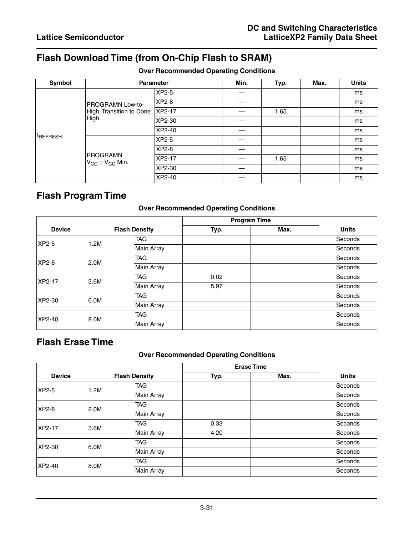# **Flash Download Time (from On-Chip Flash to SRAM)**

#### **Over Recommended Operating Conditions**

| Symbol               | <b>Parameter</b>                   |           | Min. | Typ. | Max. | <b>Units</b> |
|----------------------|------------------------------------|-----------|------|------|------|--------------|
|                      |                                    | XP2-5     |      |      |      | ms           |
|                      | <b>PROGRAMN Low-to-</b>            | XP2-8     |      |      |      | ms           |
|                      | High. Transition to Done           | $ XP2-17$ |      | 1.65 |      | ms           |
|                      | High.                              | XP2-30    |      |      |      | ms           |
|                      |                                    | XP2-40    |      |      |      | ms           |
| <sup>t</sup> REFRESH | PROGRAMN<br>$V_{CC} = V_{CC}$ Min. | $XP2-5$   |      |      |      | ms           |
|                      |                                    | XP2-8     |      |      |      | ms           |
|                      |                                    | XP2-17    |      | 1.65 |      | ms           |
|                      |                                    | XP2-30    |      |      |      | ms           |
|                      |                                    | XP2-40    |      |      |      | ms           |

# **Flash Program Time**

#### **Over Recommended Operating Conditions**

|                      |                   |                              | <b>Program Time</b> |         |              |  |
|----------------------|-------------------|------------------------------|---------------------|---------|--------------|--|
| <b>Device</b>        |                   | <b>Flash Density</b><br>Typ. |                     | Max.    | <b>Units</b> |  |
| XP2-5                | 1.2M              | <b>TAG</b>                   |                     |         | Seconds      |  |
|                      |                   | Main Array                   |                     |         | Seconds      |  |
| <b>XP2-8</b><br>2.0M |                   | <b>TAG</b>                   |                     |         | Seconds      |  |
|                      |                   | <b>Main Array</b>            |                     |         | Seconds      |  |
| XP2-17               | 3.6M              | <b>TAG</b>                   | 0.02                |         | Seconds      |  |
|                      |                   | Main Array                   | 5.97                |         | Seconds      |  |
| XP2-30               | 6.0M              | <b>TAG</b>                   |                     |         | Seconds      |  |
|                      | <b>Main Array</b> |                              |                     | Seconds |              |  |
| XP2-40               | 8.0M              | <b>TAG</b>                   |                     |         | Seconds      |  |
|                      |                   | Main Array                   |                     |         | Seconds      |  |

# **Flash Erase Time**

#### **Over Recommended Operating Conditions**

|                |      |                              | <b>Erase Time</b> |      |              |  |
|----------------|------|------------------------------|-------------------|------|--------------|--|
| <b>Device</b>  |      | <b>Flash Density</b><br>Typ. |                   | Max. | <b>Units</b> |  |
| XP2-5          | 1.2M | <b>TAG</b>                   |                   |      | Seconds      |  |
|                |      | Main Array                   |                   |      | Seconds      |  |
| XP2-8          | 2.0M | <b>TAG</b>                   |                   |      | Seconds      |  |
|                |      | <b>Main Array</b>            |                   |      | Seconds      |  |
| XP2-17         | 3.6M | <b>TAG</b>                   | 0.33              |      | Seconds      |  |
|                |      | Main Array                   | 4.20              |      | Seconds      |  |
| XP2-30<br>6.0M |      | <b>TAG</b>                   |                   |      | Seconds      |  |
|                |      | Main Array                   |                   |      | Seconds      |  |
| XP2-40         | 8.0M | <b>TAG</b>                   |                   |      | Seconds      |  |
|                |      | Main Array                   |                   |      | Seconds      |  |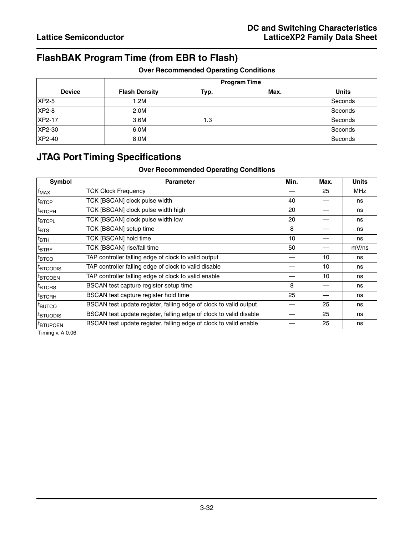# **FlashBAK Program Time (from EBR to Flash)**

|               |                      | <b>Program Time</b> |      |              |
|---------------|----------------------|---------------------|------|--------------|
| <b>Device</b> | <b>Flash Density</b> | Typ.                | Max. | <b>Units</b> |
| XP2-5         | 1.2M                 |                     |      | Seconds      |
| XP2-8         | 2.0M                 |                     |      | Seconds      |
| XP2-17        | 3.6M                 | 1.3                 |      | Seconds      |
| XP2-30        | 6.0M                 |                     |      | Seconds      |
| XP2-40        | 8.0M                 |                     |      | Seconds      |

# **JTAG Port Timing Specifications**

#### **Over Recommended Operating Conditions**

| Symbol               | <b>Parameter</b>                                                   | Min. | Max. | <b>Units</b> |
|----------------------|--------------------------------------------------------------------|------|------|--------------|
| $ f_{MAX} $          | <b>TCK Clock Frequency</b>                                         |      | 25   | <b>MHz</b>   |
| <sup>t</sup> втср    | TCK [BSCAN] clock pulse width                                      | 40   |      | ns           |
| <sup>t</sup> BTCPH   | TCK [BSCAN] clock pulse width high                                 | 20   |      | ns           |
| <sup>t</sup> btcpl   | TCK [BSCAN] clock pulse width low                                  | 20   |      | ns           |
| ∣t <sub>BTS</sub>    | TCK [BSCAN] setup time                                             | 8    |      | ns           |
| $t_{\mathsf{BTH}}$   | TCK [BSCAN] hold time                                              | 10   |      | ns           |
| <sup>t</sup> BTRF    | TCK [BSCAN] rise/fall time                                         | 50   |      | mV/ns        |
| <sup>t</sup> втсо    | TAP controller falling edge of clock to valid output               |      | 10   | ns           |
| <sup>t</sup> BTCODIS | TAP controller falling edge of clock to valid disable              |      | 10   | ns           |
| <sup>t</sup> BTCOEN  | TAP controller falling edge of clock to valid enable               |      | 10   | ns           |
| <sup>t</sup> BTCRS   | BSCAN test capture register setup time                             | 8    |      | ns           |
| <sup>t</sup> втсвн   | BSCAN test capture register hold time                              | 25   |      | ns           |
| <sup>I</sup> BUTCO   | BSCAN test update register, falling edge of clock to valid output  |      | 25   | ns           |
| <sup>t</sup> btuodis | BSCAN test update register, falling edge of clock to valid disable |      | 25   | ns           |
| <sup>t</sup> btupoen | BSCAN test update register, falling edge of clock to valid enable  |      | 25   | ns           |

Timing v. A 0.06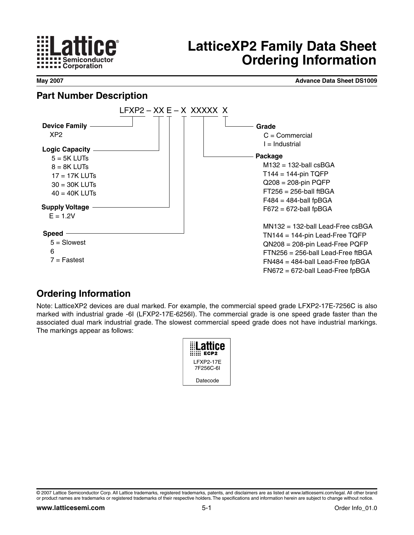

# **LatticeXP2 Family Data Sheet Ordering Information**

**May 2007 Advance Data Sheet DS1009**

# **Part Number Description**



# **Ordering Information**

Note: LatticeXP2 devices are dual marked. For example, the commercial speed grade LFXP2-17E-7256C is also marked with industrial grade -6I (LFXP2-17E-6256I). The commercial grade is one speed grade faster than the associated dual mark industrial grade. The slowest commercial speed grade does not have industrial markings. The markings appear as follows:



<sup>©</sup> 2007 Lattice Semiconductor Corp. All Lattice trademarks, registered trademarks, patents, and disclaimers are as listed at www.latticesemi.com/legal. All other brand or product names are trademarks or registered trademarks of their respective holders.The specifications and information herein are subject to change without notice.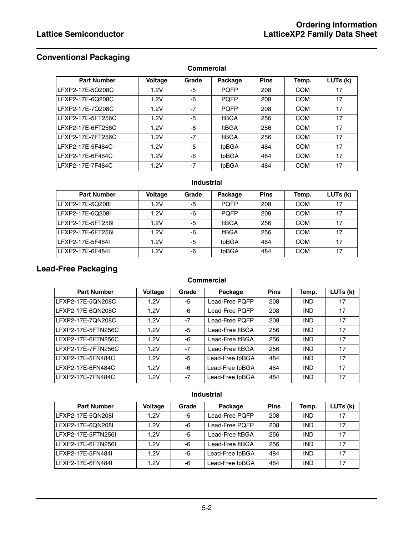# **Conventional Packaging**

**Commercial**

| <b>Part Number</b> | <b>Voltage</b> | Grade | Package     | <b>Pins</b> | Temp.      | LUTs (k) |
|--------------------|----------------|-------|-------------|-------------|------------|----------|
| LFXP2-17E-5Q208C   | 1.2V           | -5    | <b>POFP</b> | 208         | <b>COM</b> | 17       |
| LFXP2-17E-6Q208C   | 1.2V           | -6    | <b>POFP</b> | 208         | <b>COM</b> | 17       |
| LFXP2-17E-7Q208C   | 1.2V           | $-7$  | <b>POFP</b> | 208         | <b>COM</b> | 17       |
| LFXP2-17E-5FT256C  | 1.2V           | -5    | ftBGA       | 256         | <b>COM</b> | 17       |
| LFXP2-17E-6FT256C  | 1.2V           | -6    | ftBGA       | 256         | <b>COM</b> | 17       |
| LFXP2-17E-7FT256C  | 1.2V           | $-7$  | ftBGA       | 256         | <b>COM</b> | 17       |
| LFXP2-17E-5F484C   | 1.2V           | -5    | fpBGA       | 484         | <b>COM</b> | 17       |
| LFXP2-17E-6F484C   | 1.2V           | -6    | fpBGA       | 484         | <b>COM</b> | 17       |
| LFXP2-17E-7F484C   | 1.2V           | $-7$  | fpBGA       | 484         | <b>COM</b> | 17       |

#### **Industrial**

| <b>Part Number</b> | <b>Voltage</b> | Grade | Package     | <b>Pins</b> | Temp.      | LUTs (k) |
|--------------------|----------------|-------|-------------|-------------|------------|----------|
| LFXP2-17E-5Q208L   | 1.2V           | -5    | <b>POFP</b> | 208         | COM        | 17       |
| LFXP2-17E-6Q208I   | 1.2V           | -6    | <b>POFP</b> | 208         | COM        | 17       |
| LFXP2-17E-5FT256I  | 1.2V           | -5    | ftBGA       | 256         | <b>COM</b> | 17       |
| LFXP2-17E-6FT256L  | 1.2V           | -6    | ftBGA       | 256         | COM        | 17       |
| LFXP2-17E-5F484L   | 1 2 V          | -5    | fpBGA       | 484         | <b>COM</b> | 17       |
| LFXP2-17E-6F484L   | 1.2V           | -6    | fpBGA       | 484         | COM        | 17       |

# **Lead-Free Packaging**

#### **Commercial**

| <b>Part Number</b> | <b>Voltage</b> | Grade | Package         | <b>Pins</b> | Temp.      | LUTs (k) |
|--------------------|----------------|-------|-----------------|-------------|------------|----------|
| LFXP2-17E-5QN208C  | 1.2V           | -5    | Lead-Free PQFP  | 208         | <b>IND</b> | 17       |
| LFXP2-17E-6QN208C  | 1.2V           | -6    | Lead-Free POFP  | 208         | <b>IND</b> | 17       |
| LFXP2-17E-7QN208C  | 1.2V           | $-7$  | Lead-Free PQFP  | 208         | <b>IND</b> | 17       |
| LFXP2-17E-5FTN256C | 1.2V           | -5    | Lead-Free ftBGA | 256         | <b>IND</b> | 17       |
| LFXP2-17E-6FTN256C | 1.2V           | -6    | Lead-Free ftBGA | 256         | <b>IND</b> | 17       |
| LFXP2-17E-7FTN256C | 1.2V           | $-7$  | Lead-Free ftBGA | 256         | <b>IND</b> | 17       |
| LFXP2-17E-5FN484C  | 1.2V           | -5    | Lead-Free fpBGA | 484         | <b>IND</b> | 17       |
| LFXP2-17E-6FN484C  | 1.2V           | -6    | Lead-Free fpBGA | 484         | <b>IND</b> | 17       |
| LFXP2-17E-7FN484C  | 1.2V           | $-7$  | Lead-Free fpBGA | 484         | <b>IND</b> | 17       |

#### **Industrial**

| <b>Part Number</b> | <b>Voltage</b> | Grade | Package         | <b>Pins</b> | Temp.      | LUTs (k) |
|--------------------|----------------|-------|-----------------|-------------|------------|----------|
| LFXP2-17E-5QN208L  | 1.2V           | -5    | Lead-Free POFP  | 208         | <b>IND</b> | -17      |
| LFXP2-17E-6QN208L  | 1.2V           | -6    | Lead-Free POFP  | 208         | <b>IND</b> | 17       |
| LFXP2-17E-5FTN256L | 1 2V           | -5    | Lead-Free ftBGA | 256         | <b>IND</b> | 17       |
| LFXP2-17E-6FTN256L | 1.2V           | -6    | Lead-Free ftBGA | 256         | IND        | 17       |
| LFXP2-17E-5FN484L  | 1.2V           | -5    | Lead-Free fpBGA | 484         | <b>IND</b> | 17       |
| LFXP2-17E-6FN484L  | 1.2V           | -6    | Lead-Free fpBGA | 484         | <b>IND</b> | 17       |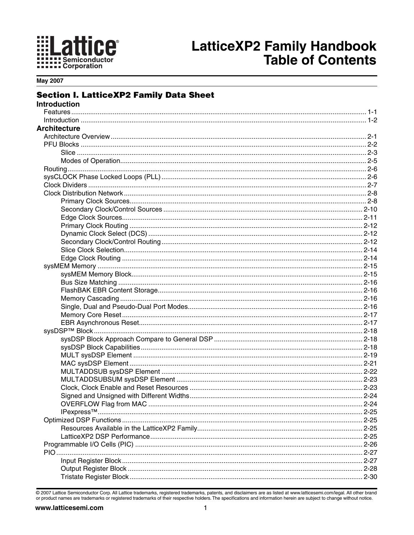

**May 2007** 

#### **Section I. LatticeXP2 Family Data Sheet**

| <b>Introduction</b> |  |
|---------------------|--|
|                     |  |
|                     |  |
| <b>Architecture</b> |  |
|                     |  |
|                     |  |
|                     |  |
|                     |  |
|                     |  |
|                     |  |
|                     |  |
|                     |  |
|                     |  |
|                     |  |
|                     |  |
|                     |  |
|                     |  |
|                     |  |
|                     |  |
|                     |  |
|                     |  |
|                     |  |
|                     |  |
|                     |  |
|                     |  |
|                     |  |
|                     |  |
|                     |  |
|                     |  |
|                     |  |
|                     |  |
|                     |  |
|                     |  |
|                     |  |
|                     |  |
|                     |  |
|                     |  |
|                     |  |
|                     |  |
|                     |  |
|                     |  |
|                     |  |
|                     |  |
|                     |  |
|                     |  |
|                     |  |
|                     |  |

@ 2007 Lattice Semiconductor Corp. All Lattice trademarks, registered trademarks, patents, and disclaimers are as listed at www.latticesemi.com/legal. All other brand or product names are trademarks or registered trademarks of their respective holders. The specifications and information herein are subject to change without notice.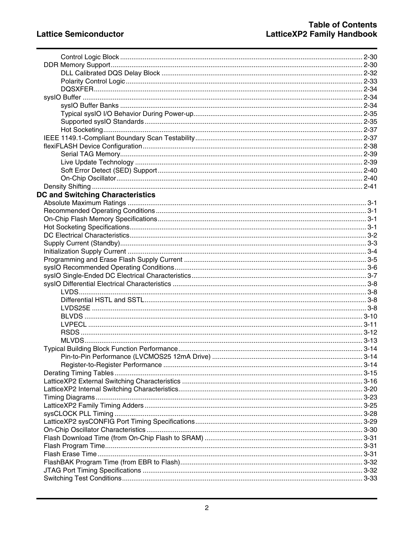| <b>DC and Switching Characteristics</b> |  |
|-----------------------------------------|--|
|                                         |  |
|                                         |  |
|                                         |  |
|                                         |  |
|                                         |  |
|                                         |  |
|                                         |  |
|                                         |  |
|                                         |  |
|                                         |  |
|                                         |  |
|                                         |  |
|                                         |  |
|                                         |  |
|                                         |  |
|                                         |  |
|                                         |  |
|                                         |  |
|                                         |  |
|                                         |  |
|                                         |  |
|                                         |  |
|                                         |  |
|                                         |  |
|                                         |  |
|                                         |  |
|                                         |  |
|                                         |  |
|                                         |  |
|                                         |  |
|                                         |  |
|                                         |  |
|                                         |  |
|                                         |  |
|                                         |  |
|                                         |  |
|                                         |  |
|                                         |  |
|                                         |  |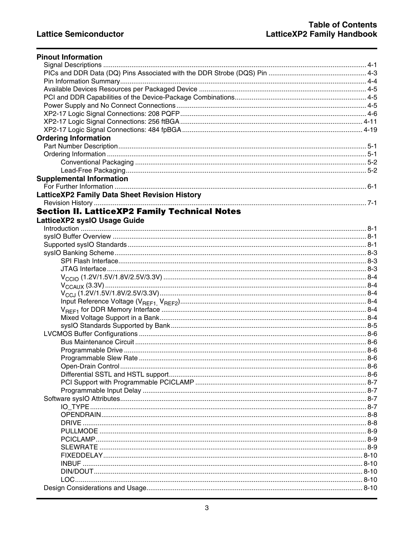| <b>Pinout Information</b>                            |  |
|------------------------------------------------------|--|
|                                                      |  |
|                                                      |  |
|                                                      |  |
|                                                      |  |
|                                                      |  |
|                                                      |  |
|                                                      |  |
|                                                      |  |
|                                                      |  |
| <b>Ordering Information</b>                          |  |
|                                                      |  |
|                                                      |  |
|                                                      |  |
|                                                      |  |
| <b>Supplemental Information</b>                      |  |
|                                                      |  |
|                                                      |  |
| <b>Section II. LatticeXP2 Family Technical Notes</b> |  |
|                                                      |  |
| LatticeXP2 sysIO Usage Guide                         |  |
|                                                      |  |
|                                                      |  |
|                                                      |  |
|                                                      |  |
|                                                      |  |
|                                                      |  |
|                                                      |  |
|                                                      |  |
|                                                      |  |
|                                                      |  |
|                                                      |  |
|                                                      |  |
|                                                      |  |
|                                                      |  |
|                                                      |  |
|                                                      |  |
|                                                      |  |
|                                                      |  |
|                                                      |  |
|                                                      |  |
|                                                      |  |
|                                                      |  |
|                                                      |  |
| DRIVE.                                               |  |
|                                                      |  |
|                                                      |  |
|                                                      |  |
|                                                      |  |
|                                                      |  |
|                                                      |  |
|                                                      |  |
|                                                      |  |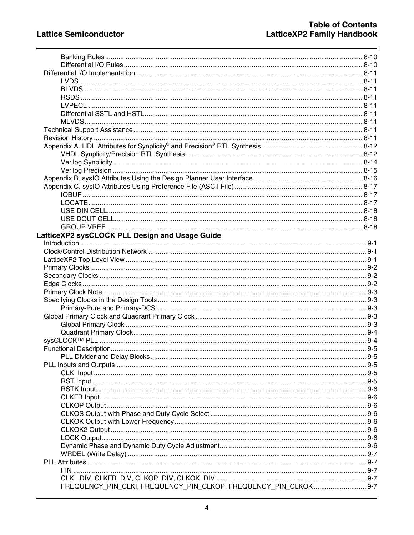| LatticeXP2 sysCLOCK PLL Design and Usage Guide                   |  |
|------------------------------------------------------------------|--|
|                                                                  |  |
|                                                                  |  |
|                                                                  |  |
|                                                                  |  |
|                                                                  |  |
|                                                                  |  |
|                                                                  |  |
|                                                                  |  |
|                                                                  |  |
|                                                                  |  |
|                                                                  |  |
|                                                                  |  |
|                                                                  |  |
|                                                                  |  |
|                                                                  |  |
|                                                                  |  |
|                                                                  |  |
|                                                                  |  |
|                                                                  |  |
|                                                                  |  |
|                                                                  |  |
|                                                                  |  |
|                                                                  |  |
|                                                                  |  |
|                                                                  |  |
|                                                                  |  |
|                                                                  |  |
|                                                                  |  |
|                                                                  |  |
|                                                                  |  |
|                                                                  |  |
| FREQUENCY_PIN_CLKI, FREQUENCY_PIN_CLKOP, FREQUENCY_PIN_CLKOK 9-7 |  |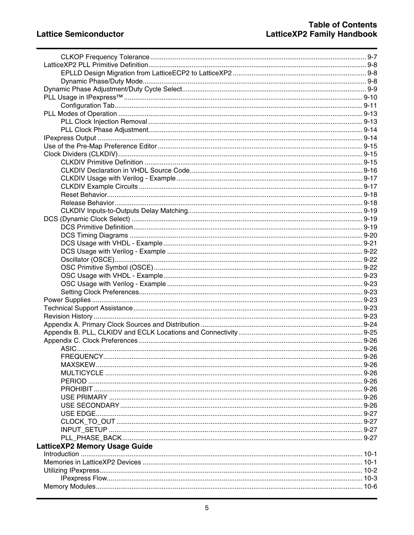| <b>LatticeXP2 Memory Usage Guide</b> |  |
|--------------------------------------|--|
|                                      |  |
|                                      |  |
|                                      |  |
|                                      |  |
|                                      |  |
|                                      |  |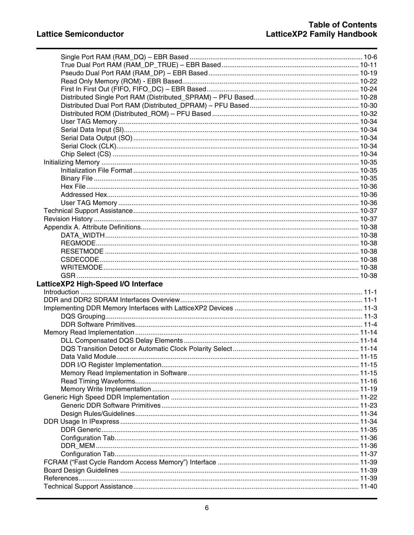| LatticeXP2 High-Speed I/O Interface |  |
|-------------------------------------|--|
|                                     |  |
|                                     |  |
|                                     |  |
|                                     |  |
|                                     |  |
|                                     |  |
|                                     |  |
|                                     |  |
|                                     |  |
|                                     |  |
|                                     |  |
|                                     |  |
|                                     |  |
|                                     |  |
|                                     |  |
|                                     |  |
|                                     |  |
|                                     |  |
|                                     |  |
|                                     |  |
|                                     |  |
|                                     |  |
|                                     |  |
|                                     |  |
|                                     |  |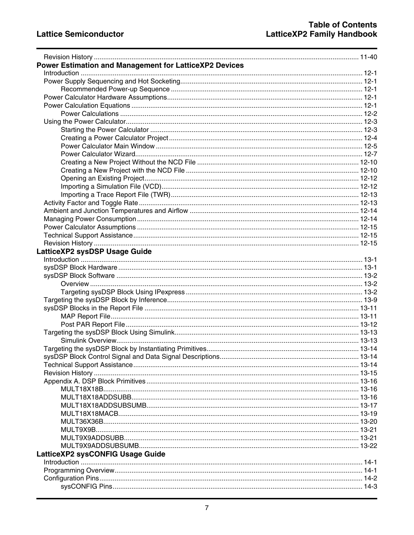| Power Estimation and Management for LatticeXP2 Devices |  |
|--------------------------------------------------------|--|
|                                                        |  |
|                                                        |  |
|                                                        |  |
|                                                        |  |
|                                                        |  |
|                                                        |  |
|                                                        |  |
|                                                        |  |
|                                                        |  |
|                                                        |  |
|                                                        |  |
|                                                        |  |
|                                                        |  |
|                                                        |  |
|                                                        |  |
|                                                        |  |
|                                                        |  |
|                                                        |  |
|                                                        |  |
|                                                        |  |
|                                                        |  |
|                                                        |  |
| LatticeXP2 sysDSP Usage Guide                          |  |
|                                                        |  |
|                                                        |  |
|                                                        |  |
|                                                        |  |
|                                                        |  |
|                                                        |  |
|                                                        |  |
|                                                        |  |
|                                                        |  |
|                                                        |  |
|                                                        |  |
|                                                        |  |
|                                                        |  |
|                                                        |  |
|                                                        |  |
|                                                        |  |
|                                                        |  |
|                                                        |  |
|                                                        |  |
|                                                        |  |
|                                                        |  |
|                                                        |  |
|                                                        |  |
|                                                        |  |
| LatticeXP2 sysCONFIG Usage Guide                       |  |
|                                                        |  |
|                                                        |  |
|                                                        |  |
|                                                        |  |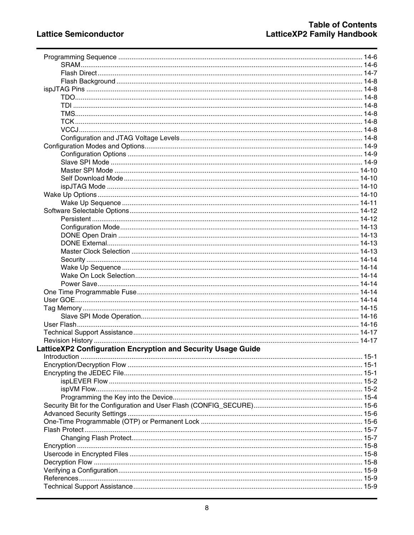| LatticeXP2 Configuration Encryption and Security Usage Guide |  |
|--------------------------------------------------------------|--|
|                                                              |  |
|                                                              |  |
|                                                              |  |
|                                                              |  |
|                                                              |  |
|                                                              |  |
|                                                              |  |
|                                                              |  |
|                                                              |  |
|                                                              |  |
|                                                              |  |
|                                                              |  |
|                                                              |  |
|                                                              |  |
|                                                              |  |
|                                                              |  |
|                                                              |  |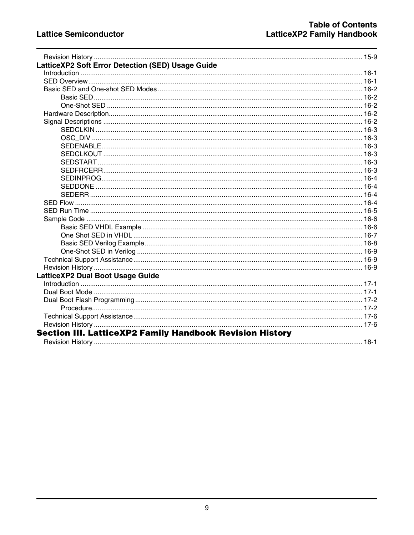| LatticeXP2 Soft Error Detection (SED) Usage Guide               |  |
|-----------------------------------------------------------------|--|
|                                                                 |  |
|                                                                 |  |
|                                                                 |  |
|                                                                 |  |
|                                                                 |  |
|                                                                 |  |
|                                                                 |  |
|                                                                 |  |
|                                                                 |  |
|                                                                 |  |
|                                                                 |  |
|                                                                 |  |
|                                                                 |  |
|                                                                 |  |
|                                                                 |  |
|                                                                 |  |
|                                                                 |  |
|                                                                 |  |
|                                                                 |  |
|                                                                 |  |
|                                                                 |  |
|                                                                 |  |
|                                                                 |  |
|                                                                 |  |
|                                                                 |  |
| LatticeXP2 Dual Boot Usage Guide                                |  |
|                                                                 |  |
|                                                                 |  |
|                                                                 |  |
|                                                                 |  |
|                                                                 |  |
|                                                                 |  |
| <b>Section III. LatticeXP2 Family Handbook Revision History</b> |  |
|                                                                 |  |
|                                                                 |  |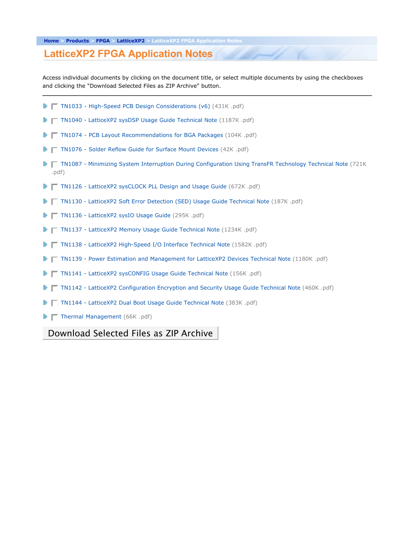#### **LatticeXP2 FPGA Application Notes**

Access individual documents by clicking on the document title, or select multiple documents by using the checkboxes and clicking the "Download Selected Files as ZIP Archive" button.

- TN1033 High-Speed PCB Design Considerations (v6) (431K .pdf)
- ▶ TN1040 LatticeXP2 sysDSP Usage Guide Technical Note (1187K .pdf)
- TN1074 PCB Layout Recommendations for BGA Packages (104K .pdf)
- ▶ TN1076 Solder Reflow Guide for Surface Mount Devices (42K .pdf)
- **T TN1087 Minimizing System Interruption During Configuration Using TransFR Technology Technical Note (721K** .pdf)
- TN1126 LatticeXP2 sysCLOCK PLL Design and Usage Guide (672K .pdf)
- TN1130 LatticeXP2 Soft Error Detection (SED) Usage Guide Technical Note (187K .pdf)
- TN1136 LatticeXP2 sysIO Usage Guide (295K .pdf)
- ▶ TN1137 LatticeXP2 Memory Usage Guide Technical Note (1234K .pdf)
- T TN1138 LatticeXP2 High-Speed I/O Interface Technical Note (1582K .pdf)
- TN1139 Power Estimation and Management for LatticeXP2 Devices Technical Note (1180K .pdf)
- **TE TN1141 LatticeXP2 sysCONFIG Usage Guide Technical Note (156K .pdf)**
- **T** TN1142 LatticeXP2 Configuration Encryption and Security Usage Guide Technical Note (460K .pdf)
- TN1144 LatticeXP2 Dual Boot Usage Guide Technical Note (383K .pdf)
- $\blacktriangleright \blacktriangleright$  Thermal Management (66K .pdf)

Download Selected Files as ZIP Archive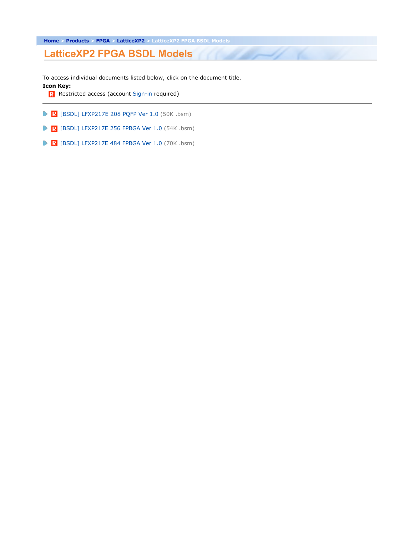**Home > Products > FPGA > LatticeXP2 > LatticeXP2 FPGA BSDL Models**

**LatticeXP2 FPGA BSDL Models**

To access individual documents listed below, click on the document title. **Icon Key:**

 $\mathbb{Z}$ 

R Restricted access (account Sign-in required)

- $\mathbb{R}$  [BSDL] LFXP217E 208 PQFP Ver 1.0 (50K .bsm)
- $\mathbb{R}$  [BSDL] LFXP217E 256 FPBGA Ver 1.0 (54K .bsm)
- $\blacktriangleright$  R [BSDL] LFXP217E 484 FPBGA Ver 1.0 (70K .bsm)